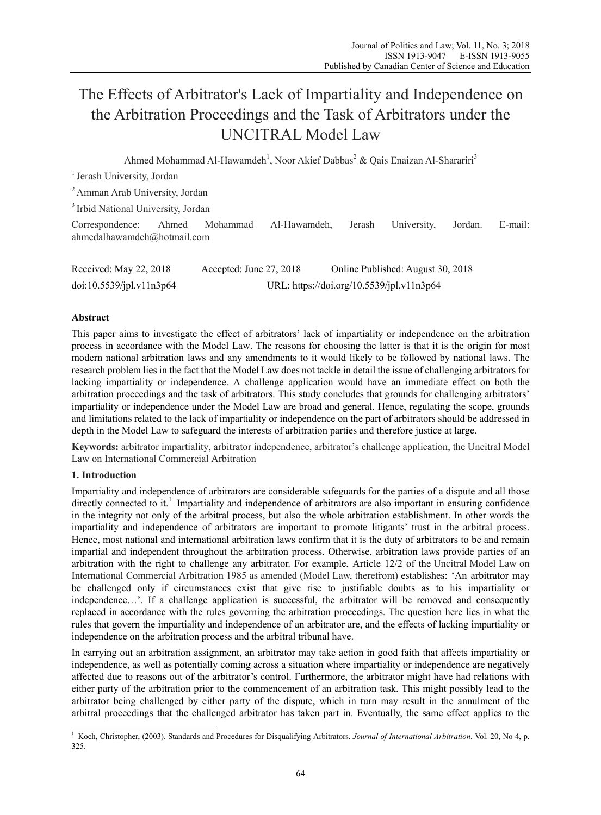# The Effects of Arbitrator's Lack of Impartiality and Independence on the Arbitration Proceedings and the Task of Arbitrators under the UNCITRAL Model Law

Ahmed Mohammad Al-Hawamdeh<sup>1</sup>, Noor Akief Dabbas<sup>2</sup> & Qais Enaizan Al-Sharariri<sup>3</sup>

<sup>1</sup> Jerash University, Jordan

2 Amman Arab University, Jordan

3 Irbid National University, Jordan

Correspondence: Ahmed Mohammad Al-Hawamdeh, Jerash University, Jordan. E-mail: ahmedalhawamdeh@hotmail.com

| Received: May 22, 2018   | Accepted: June $27, 2018$                 | Online Published: August 30, 2018 |
|--------------------------|-------------------------------------------|-----------------------------------|
| doi:10.5539/jpl.v11n3p64 | URL: https://doi.org/10.5539/jpl.v11n3p64 |                                   |

## **Abstract**

This paper aims to investigate the effect of arbitrators' lack of impartiality or independence on the arbitration process in accordance with the Model Law. The reasons for choosing the latter is that it is the origin for most modern national arbitration laws and any amendments to it would likely to be followed by national laws. The research problem lies in the fact that the Model Law does not tackle in detail the issue of challenging arbitrators for lacking impartiality or independence. A challenge application would have an immediate effect on both the arbitration proceedings and the task of arbitrators. This study concludes that grounds for challenging arbitrators' impartiality or independence under the Model Law are broad and general. Hence, regulating the scope, grounds and limitations related to the lack of impartiality or independence on the part of arbitrators should be addressed in depth in the Model Law to safeguard the interests of arbitration parties and therefore justice at large.

**Keywords:** arbitrator impartiality, arbitrator independence, arbitrator's challenge application, the Uncitral Model Law on International Commercial Arbitration

### **1. Introduction**

 $\overline{a}$ 

Impartiality and independence of arbitrators are considerable safeguards for the parties of a dispute and all those directly connected to it.<sup>1</sup> Impartiality and independence of arbitrators are also important in ensuring confidence in the integrity not only of the arbitral process, but also the whole arbitration establishment. In other words the impartiality and independence of arbitrators are important to promote litigants' trust in the arbitral process. Hence, most national and international arbitration laws confirm that it is the duty of arbitrators to be and remain impartial and independent throughout the arbitration process. Otherwise, arbitration laws provide parties of an arbitration with the right to challenge any arbitrator. For example, Article 12/2 of the Uncitral Model Law on International Commercial Arbitration 1985 as amended (Model Law, therefrom) establishes: 'An arbitrator may be challenged only if circumstances exist that give rise to justifiable doubts as to his impartiality or independence…'. If a challenge application is successful, the arbitrator will be removed and consequently replaced in accordance with the rules governing the arbitration proceedings. The question here lies in what the rules that govern the impartiality and independence of an arbitrator are, and the effects of lacking impartiality or independence on the arbitration process and the arbitral tribunal have.

In carrying out an arbitration assignment, an arbitrator may take action in good faith that affects impartiality or independence, as well as potentially coming across a situation where impartiality or independence are negatively affected due to reasons out of the arbitrator's control. Furthermore, the arbitrator might have had relations with either party of the arbitration prior to the commencement of an arbitration task. This might possibly lead to the arbitrator being challenged by either party of the dispute, which in turn may result in the annulment of the arbitral proceedings that the challenged arbitrator has taken part in. Eventually, the same effect applies to the

<sup>&</sup>lt;sup>1</sup> Koch, Christopher, (2003). Standards and Procedures for Disqualifying Arbitrators. *Journal of International Arbitration*. Vol. 20, No 4, p. 325.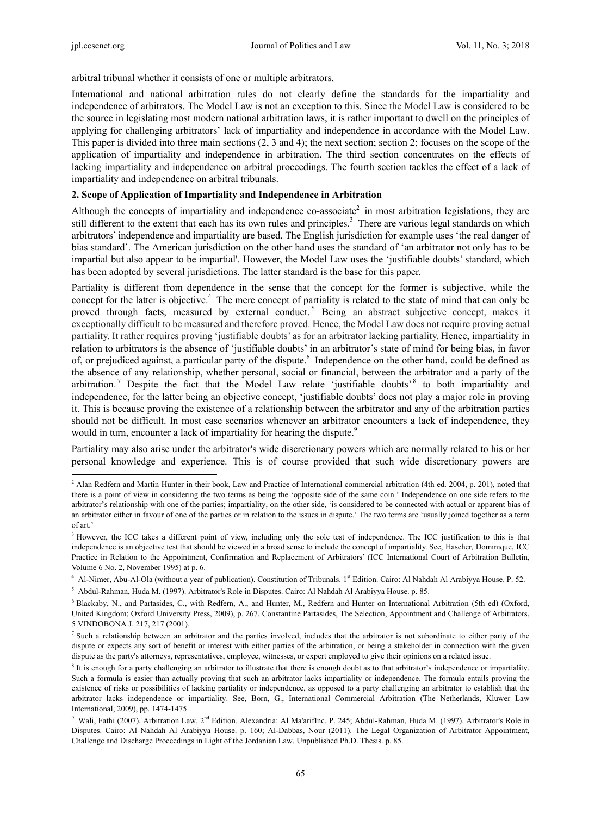arbitral tribunal whether it consists of one or multiple arbitrators.

International and national arbitration rules do not clearly define the standards for the impartiality and independence of arbitrators. The Model Law is not an exception to this. Since the Model Law is considered to be the source in legislating most modern national arbitration laws, it is rather important to dwell on the principles of applying for challenging arbitrators' lack of impartiality and independence in accordance with the Model Law. This paper is divided into three main sections (2, 3 and 4); the next section; section 2; focuses on the scope of the application of impartiality and independence in arbitration. The third section concentrates on the effects of lacking impartiality and independence on arbitral proceedings. The fourth section tackles the effect of a lack of impartiality and independence on arbitral tribunals.

## **2. Scope of Application of Impartiality and Independence in Arbitration**

Although the concepts of impartiality and independence co-associate<sup>2</sup> in most arbitration legislations, they are still different to the extent that each has its own rules and principles.<sup>3</sup> There are various legal standards on which arbitrators' independence and impartiality are based. The English jurisdiction for example uses 'the real danger of bias standard'. The American jurisdiction on the other hand uses the standard of 'an arbitrator not only has to be impartial but also appear to be impartial'. However, the Model Law uses the 'justifiable doubts' standard, which has been adopted by several jurisdictions. The latter standard is the base for this paper.

Partiality is different from dependence in the sense that the concept for the former is subjective, while the concept for the latter is objective.<sup>4</sup> The mere concept of partiality is related to the state of mind that can only be proved through facts, measured by external conduct.<sup>5</sup> Being an abstract subjective concept, makes it exceptionally difficult to be measured and therefore proved. Hence, the Model Law does not require proving actual partiality. It rather requires proving 'justifiable doubts' as for an arbitrator lacking partiality. Hence, impartiality in relation to arbitrators is the absence of 'justifiable doubts' in an arbitrator's state of mind for being bias, in favor of, or prejudiced against, a particular party of the dispute. Independence on the other hand, could be defined as the absence of any relationship, whether personal, social or financial, between the arbitrator and a party of the arbitration.<sup>7</sup> Despite the fact that the Model Law relate 'justifiable doubts'  $8$  to both impartiality and independence, for the latter being an objective concept, 'justifiable doubts' does not play a major role in proving it. This is because proving the existence of a relationship between the arbitrator and any of the arbitration parties should not be difficult. In most case scenarios whenever an arbitrator encounters a lack of independence, they would in turn, encounter a lack of impartiality for hearing the dispute.<sup>9</sup>

Partiality may also arise under the arbitrator's wide discretionary powers which are normally related to his or her personal knowledge and experience. This is of course provided that such wide discretionary powers are

 $^{2}$  Alan Redfern and Martin Hunter in their book, Law and Practice of International commercial arbitration (4th ed. 2004, p. 201), noted that there is a point of view in considering the two terms as being the 'opposite side of the same coin.' Independence on one side refers to the arbitrator's relationship with one of the parties; impartiality, on the other side, 'is considered to be connected with actual or apparent bias of an arbitrator either in favour of one of the parties or in relation to the issues in dispute.' The two terms are 'usually joined together as a term of art.'

<sup>&</sup>lt;sup>3</sup> However, the ICC takes a different point of view, including only the sole test of independence. The ICC justification to this is that independence is an objective test that should be viewed in a broad sense to include the concept of impartiality. See, Hascher, Dominique, ICC Practice in Relation to the Appointment, Confirmation and Replacement of Arbitrators' (ICC International Court of Arbitration Bulletin, Volume 6 No. 2, November 1995) at p. 6.

<sup>&</sup>lt;sup>4</sup> Al-Nimer, Abu-Al-Ola (without a year of publication). Constitution of Tribunals. 1<sup>st</sup> Edition. Cairo: Al Nahdah Al Arabiyya House. P. 52.

<sup>5</sup> Abdul-Rahman, Huda M. (1997). Arbitrator's Role in Disputes. Cairo: Al Nahdah Al Arabiyya House. p. 85.

<sup>6</sup> Blackaby, N., and Partasides, C., with Redfern, A., and Hunter, M., Redfern and Hunter on International Arbitration (5th ed) (Oxford, United Kingdom; Oxford University Press, 2009), p. 267. Constantine Partasides, The Selection, Appointment and Challenge of Arbitrators, 5 VINDOBONA J. 217, 217 (2001).

<sup>&</sup>lt;sup>7</sup> Such a relationship between an arbitrator and the parties involved, includes that the arbitrator is not subordinate to either party of the dispute or expects any sort of benefit or interest with either parties of the arbitration, or being a stakeholder in connection with the given dispute as the party's attorneys, representatives, employee, witnesses, or expert employed to give their opinions on a related issue.

<sup>8</sup> It is enough for a party challenging an arbitrator to illustrate that there is enough doubt as to that arbitrator's independence or impartiality. Such a formula is easier than actually proving that such an arbitrator lacks impartiality or independence. The formula entails proving the existence of risks or possibilities of lacking partiality or independence, as opposed to a party challenging an arbitrator to establish that the arbitrator lacks independence or impartiality. See, Born, G., International Commercial Arbitration (The Netherlands, Kluwer Law International, 2009), pp. 1474-1475.

<sup>&</sup>lt;sup>9</sup> Wali, Fathi (2007). Arbitration Law. 2<sup>nd</sup> Edition. Alexandria: Al Ma'arifInc. P. 245; Abdul-Rahman, Huda M. (1997). Arbitrator's Role in Disputes. Cairo: Al Nahdah Al Arabiyya House. p. 160; Al-Dabbas, Nour (2011). The Legal Organization of Arbitrator Appointment, Challenge and Discharge Proceedings in Light of the Jordanian Law. Unpublished Ph.D. Thesis. p. 85.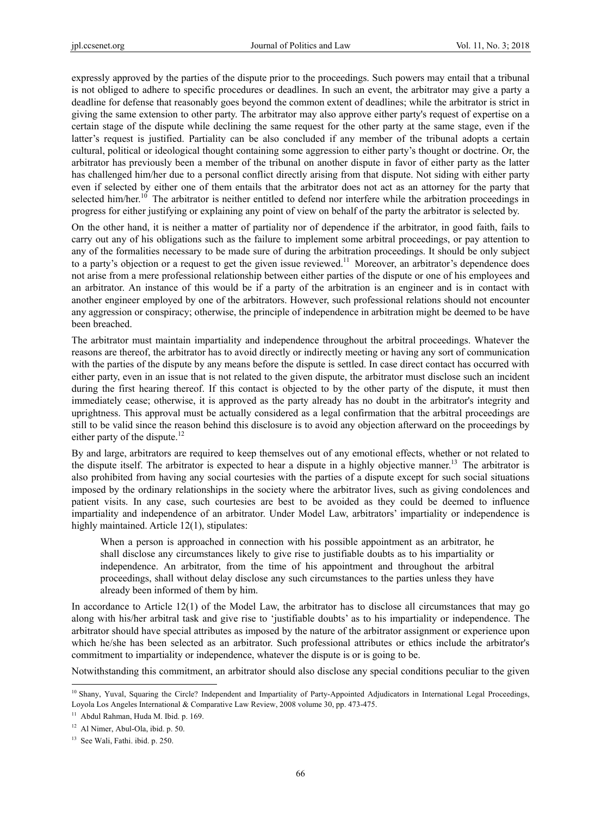expressly approved by the parties of the dispute prior to the proceedings. Such powers may entail that a tribunal is not obliged to adhere to specific procedures or deadlines. In such an event, the arbitrator may give a party a deadline for defense that reasonably goes beyond the common extent of deadlines; while the arbitrator is strict in giving the same extension to other party. The arbitrator may also approve either party's request of expertise on a certain stage of the dispute while declining the same request for the other party at the same stage, even if the latter's request is justified. Partiality can be also concluded if any member of the tribunal adopts a certain cultural, political or ideological thought containing some aggression to either party's thought or doctrine. Or, the arbitrator has previously been a member of the tribunal on another dispute in favor of either party as the latter has challenged him/her due to a personal conflict directly arising from that dispute. Not siding with either party even if selected by either one of them entails that the arbitrator does not act as an attorney for the party that selected him/her.<sup>10</sup> The arbitrator is neither entitled to defend nor interfere while the arbitration proceedings in progress for either justifying or explaining any point of view on behalf of the party the arbitrator is selected by.

On the other hand, it is neither a matter of partiality nor of dependence if the arbitrator, in good faith, fails to carry out any of his obligations such as the failure to implement some arbitral proceedings, or pay attention to any of the formalities necessary to be made sure of during the arbitration proceedings. It should be only subject to a party's objection or a request to get the given issue reviewed.<sup>11</sup> Moreover, an arbitrator's dependence does not arise from a mere professional relationship between either parties of the dispute or one of his employees and an arbitrator. An instance of this would be if a party of the arbitration is an engineer and is in contact with another engineer employed by one of the arbitrators. However, such professional relations should not encounter any aggression or conspiracy; otherwise, the principle of independence in arbitration might be deemed to be have been breached.

The arbitrator must maintain impartiality and independence throughout the arbitral proceedings. Whatever the reasons are thereof, the arbitrator has to avoid directly or indirectly meeting or having any sort of communication with the parties of the dispute by any means before the dispute is settled. In case direct contact has occurred with either party, even in an issue that is not related to the given dispute, the arbitrator must disclose such an incident during the first hearing thereof. If this contact is objected to by the other party of the dispute, it must then immediately cease; otherwise, it is approved as the party already has no doubt in the arbitrator's integrity and uprightness. This approval must be actually considered as a legal confirmation that the arbitral proceedings are still to be valid since the reason behind this disclosure is to avoid any objection afterward on the proceedings by either party of the dispute.<sup>12</sup>

By and large, arbitrators are required to keep themselves out of any emotional effects, whether or not related to the dispute itself. The arbitrator is expected to hear a dispute in a highly objective manner.<sup>13</sup> The arbitrator is also prohibited from having any social courtesies with the parties of a dispute except for such social situations imposed by the ordinary relationships in the society where the arbitrator lives, such as giving condolences and patient visits. In any case, such courtesies are best to be avoided as they could be deemed to influence impartiality and independence of an arbitrator. Under Model Law, arbitrators' impartiality or independence is highly maintained. Article 12(1), stipulates:

When a person is approached in connection with his possible appointment as an arbitrator, he shall disclose any circumstances likely to give rise to justifiable doubts as to his impartiality or independence. An arbitrator, from the time of his appointment and throughout the arbitral proceedings, shall without delay disclose any such circumstances to the parties unless they have already been informed of them by him.

In accordance to Article 12(1) of the Model Law, the arbitrator has to disclose all circumstances that may go along with his/her arbitral task and give rise to 'justifiable doubts' as to his impartiality or independence. The arbitrator should have special attributes as imposed by the nature of the arbitrator assignment or experience upon which he/she has been selected as an arbitrator. Such professional attributes or ethics include the arbitrator's commitment to impartiality or independence, whatever the dispute is or is going to be.

Notwithstanding this commitment, an arbitrator should also disclose any special conditions peculiar to the given

<sup>&</sup>lt;sup>10</sup> Shany, Yuval, Squaring the Circle? Independent and Impartiality of Party-Appointed Adjudicators in International Legal Proceedings, Loyola Los Angeles International & Comparative Law Review, 2008 volume 30, pp. 473-475.

<sup>&</sup>lt;sup>11</sup> Abdul Rahman, Huda M. Ibid. p. 169.

<sup>&</sup>lt;sup>12</sup> Al Nimer, Abul-Ola, ibid. p. 50.

<sup>&</sup>lt;sup>13</sup> See Wali, Fathi. ibid. p. 250.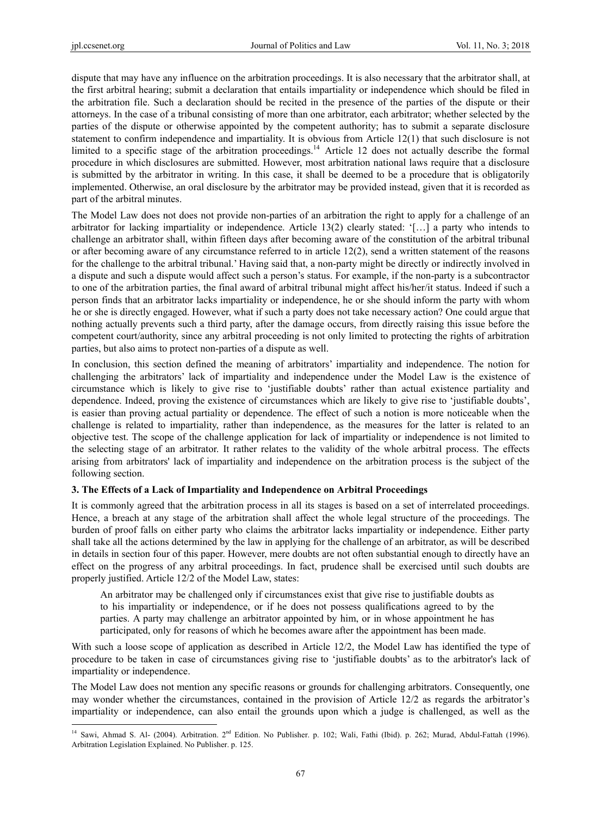dispute that may have any influence on the arbitration proceedings. It is also necessary that the arbitrator shall, at the first arbitral hearing; submit a declaration that entails impartiality or independence which should be filed in the arbitration file. Such a declaration should be recited in the presence of the parties of the dispute or their attorneys. In the case of a tribunal consisting of more than one arbitrator, each arbitrator; whether selected by the parties of the dispute or otherwise appointed by the competent authority; has to submit a separate disclosure statement to confirm independence and impartiality. It is obvious from Article 12(1) that such disclosure is not limited to a specific stage of the arbitration proceedings.<sup>14</sup> Article 12 does not actually describe the formal procedure in which disclosures are submitted. However, most arbitration national laws require that a disclosure is submitted by the arbitrator in writing. In this case, it shall be deemed to be a procedure that is obligatorily implemented. Otherwise, an oral disclosure by the arbitrator may be provided instead, given that it is recorded as part of the arbitral minutes.

The Model Law does not does not provide non-parties of an arbitration the right to apply for a challenge of an arbitrator for lacking impartiality or independence. Article 13(2) clearly stated: '[…] a party who intends to challenge an arbitrator shall, within fifteen days after becoming aware of the constitution of the arbitral tribunal or after becoming aware of any circumstance referred to in article 12(2), send a written statement of the reasons for the challenge to the arbitral tribunal.' Having said that, a non-party might be directly or indirectly involved in a dispute and such a dispute would affect such a person's status. For example, if the non-party is a subcontractor to one of the arbitration parties, the final award of arbitral tribunal might affect his/her/it status. Indeed if such a person finds that an arbitrator lacks impartiality or independence, he or she should inform the party with whom he or she is directly engaged. However, what if such a party does not take necessary action? One could argue that nothing actually prevents such a third party, after the damage occurs, from directly raising this issue before the competent court/authority, since any arbitral proceeding is not only limited to protecting the rights of arbitration parties, but also aims to protect non-parties of a dispute as well.

In conclusion, this section defined the meaning of arbitrators' impartiality and independence. The notion for challenging the arbitrators' lack of impartiality and independence under the Model Law is the existence of circumstance which is likely to give rise to 'justifiable doubts' rather than actual existence partiality and dependence. Indeed, proving the existence of circumstances which are likely to give rise to 'justifiable doubts', is easier than proving actual partiality or dependence. The effect of such a notion is more noticeable when the challenge is related to impartiality, rather than independence, as the measures for the latter is related to an objective test. The scope of the challenge application for lack of impartiality or independence is not limited to the selecting stage of an arbitrator. It rather relates to the validity of the whole arbitral process. The effects arising from arbitrators' lack of impartiality and independence on the arbitration process is the subject of the following section.

### **3. The Effects of a Lack of Impartiality and Independence on Arbitral Proceedings**

It is commonly agreed that the arbitration process in all its stages is based on a set of interrelated proceedings. Hence, a breach at any stage of the arbitration shall affect the whole legal structure of the proceedings. The burden of proof falls on either party who claims the arbitrator lacks impartiality or independence. Either party shall take all the actions determined by the law in applying for the challenge of an arbitrator, as will be described in details in section four of this paper. However, mere doubts are not often substantial enough to directly have an effect on the progress of any arbitral proceedings. In fact, prudence shall be exercised until such doubts are properly justified. Article 12/2 of the Model Law, states:

An arbitrator may be challenged only if circumstances exist that give rise to justifiable doubts as to his impartiality or independence, or if he does not possess qualifications agreed to by the parties. A party may challenge an arbitrator appointed by him, or in whose appointment he has participated, only for reasons of which he becomes aware after the appointment has been made.

With such a loose scope of application as described in Article 12/2, the Model Law has identified the type of procedure to be taken in case of circumstances giving rise to 'justifiable doubts' as to the arbitrator's lack of impartiality or independence.

The Model Law does not mention any specific reasons or grounds for challenging arbitrators. Consequently, one may wonder whether the circumstances, contained in the provision of Article 12/2 as regards the arbitrator's impartiality or independence, can also entail the grounds upon which a judge is challenged, as well as the

<sup>&</sup>lt;sup>14</sup> Sawi, Ahmad S. Al- (2004). Arbitration. 2<sup>nd</sup> Edition. No Publisher. p. 102; Wali, Fathi (Ibid). p. 262; Murad, Abdul-Fattah (1996). Arbitration Legislation Explained. No Publisher. p. 125.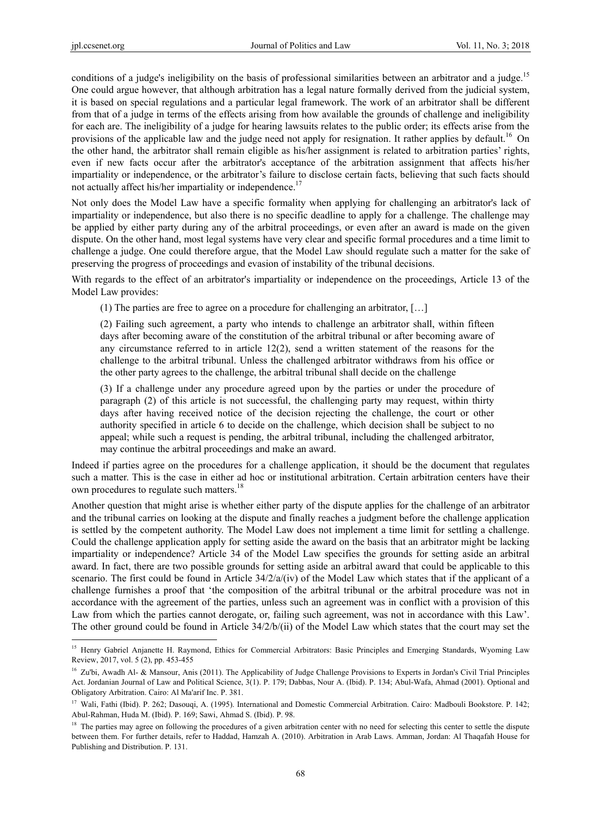conditions of a judge's ineligibility on the basis of professional similarities between an arbitrator and a judge.<sup>15</sup> One could argue however, that although arbitration has a legal nature formally derived from the judicial system, it is based on special regulations and a particular legal framework. The work of an arbitrator shall be different from that of a judge in terms of the effects arising from how available the grounds of challenge and ineligibility for each are. The ineligibility of a judge for hearing lawsuits relates to the public order; its effects arise from the provisions of the applicable law and the judge need not apply for resignation. It rather applies by default.<sup>16</sup> On the other hand, the arbitrator shall remain eligible as his/her assignment is related to arbitration parties' rights, even if new facts occur after the arbitrator's acceptance of the arbitration assignment that affects his/her impartiality or independence, or the arbitrator's failure to disclose certain facts, believing that such facts should not actually affect his/her impartiality or independence.<sup>17</sup>

Not only does the Model Law have a specific formality when applying for challenging an arbitrator's lack of impartiality or independence, but also there is no specific deadline to apply for a challenge. The challenge may be applied by either party during any of the arbitral proceedings, or even after an award is made on the given dispute. On the other hand, most legal systems have very clear and specific formal procedures and a time limit to challenge a judge. One could therefore argue, that the Model Law should regulate such a matter for the sake of preserving the progress of proceedings and evasion of instability of the tribunal decisions.

With regards to the effect of an arbitrator's impartiality or independence on the proceedings, Article 13 of the Model Law provides:

(1) The parties are free to agree on a procedure for challenging an arbitrator, […]

(2) Failing such agreement, a party who intends to challenge an arbitrator shall, within fifteen days after becoming aware of the constitution of the arbitral tribunal or after becoming aware of any circumstance referred to in article  $12(2)$ , send a written statement of the reasons for the challenge to the arbitral tribunal. Unless the challenged arbitrator withdraws from his office or the other party agrees to the challenge, the arbitral tribunal shall decide on the challenge

(3) If a challenge under any procedure agreed upon by the parties or under the procedure of paragraph (2) of this article is not successful, the challenging party may request, within thirty days after having received notice of the decision rejecting the challenge, the court or other authority specified in article 6 to decide on the challenge, which decision shall be subject to no appeal; while such a request is pending, the arbitral tribunal, including the challenged arbitrator, may continue the arbitral proceedings and make an award.

Indeed if parties agree on the procedures for a challenge application, it should be the document that regulates such a matter. This is the case in either ad hoc or institutional arbitration. Certain arbitration centers have their own procedures to regulate such matters.<sup>18</sup>

Another question that might arise is whether either party of the dispute applies for the challenge of an arbitrator and the tribunal carries on looking at the dispute and finally reaches a judgment before the challenge application is settled by the competent authority. The Model Law does not implement a time limit for settling a challenge. Could the challenge application apply for setting aside the award on the basis that an arbitrator might be lacking impartiality or independence? Article 34 of the Model Law specifies the grounds for setting aside an arbitral award. In fact, there are two possible grounds for setting aside an arbitral award that could be applicable to this scenario. The first could be found in Article  $34/2/a/(iv)$  of the Model Law which states that if the applicant of a challenge furnishes a proof that 'the composition of the arbitral tribunal or the arbitral procedure was not in accordance with the agreement of the parties, unless such an agreement was in conflict with a provision of this Law from which the parties cannot derogate, or, failing such agreement, was not in accordance with this Law'. The other ground could be found in Article 34/2/b/(ii) of the Model Law which states that the court may set the

<sup>&</sup>lt;sup>15</sup> Henry Gabriel Anjanette H. Raymond, Ethics for Commercial Arbitrators: Basic Principles and Emerging Standards, Wyoming Law Review, 2017, vol. 5 (2), pp. 453-455

<sup>&</sup>lt;sup>16</sup> Zu'bi, Awadh Al- & Mansour, Anis (2011). The Applicability of Judge Challenge Provisions to Experts in Jordan's Civil Trial Principles Act. Jordanian Journal of Law and Political Science, 3(1). P. 179; Dabbas, Nour A. (Ibid). P. 134; Abul-Wafa, Ahmad (2001). Optional and Obligatory Arbitration. Cairo: Al Ma'arif Inc. P. 381.

<sup>&</sup>lt;sup>17</sup> Wali, Fathi (Ibid). P. 262; Dasouqi, A. (1995). International and Domestic Commercial Arbitration. Cairo: Madbouli Bookstore. P. 142; Abul-Rahman, Huda M. (Ibid). P. 169; Sawi, Ahmad S. (Ibid). P. 98.

<sup>&</sup>lt;sup>18</sup> The parties may agree on following the procedures of a given arbitration center with no need for selecting this center to settle the dispute between them. For further details, refer to Haddad, Hamzah A. (2010). Arbitration in Arab Laws. Amman, Jordan: Al Thaqafah House for Publishing and Distribution. P. 131.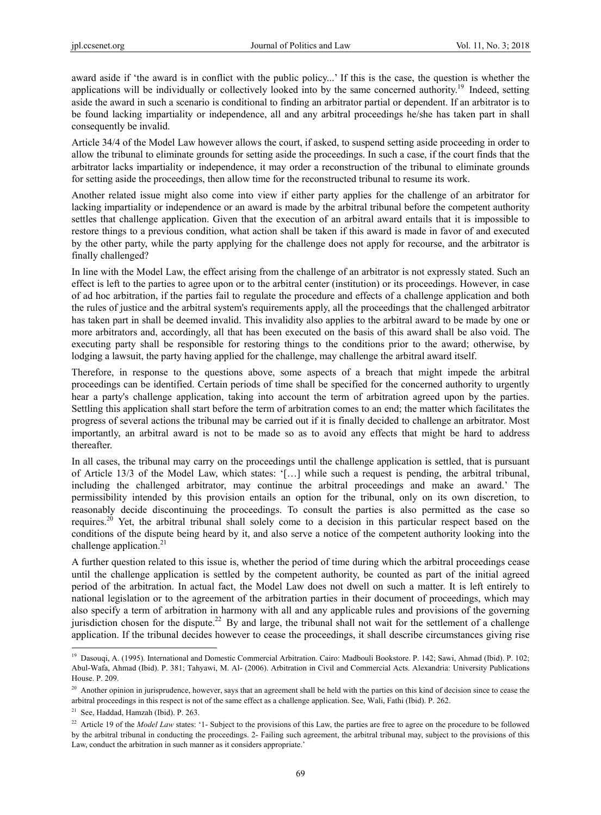award aside if 'the award is in conflict with the public policy...' If this is the case, the question is whether the applications will be individually or collectively looked into by the same concerned authority.<sup>19</sup> Indeed, setting aside the award in such a scenario is conditional to finding an arbitrator partial or dependent. If an arbitrator is to be found lacking impartiality or independence, all and any arbitral proceedings he/she has taken part in shall consequently be invalid.

Article 34/4 of the Model Law however allows the court, if asked, to suspend setting aside proceeding in order to allow the tribunal to eliminate grounds for setting aside the proceedings. In such a case, if the court finds that the arbitrator lacks impartiality or independence, it may order a reconstruction of the tribunal to eliminate grounds for setting aside the proceedings, then allow time for the reconstructed tribunal to resume its work.

Another related issue might also come into view if either party applies for the challenge of an arbitrator for lacking impartiality or independence or an award is made by the arbitral tribunal before the competent authority settles that challenge application. Given that the execution of an arbitral award entails that it is impossible to restore things to a previous condition, what action shall be taken if this award is made in favor of and executed by the other party, while the party applying for the challenge does not apply for recourse, and the arbitrator is finally challenged?

In line with the Model Law, the effect arising from the challenge of an arbitrator is not expressly stated. Such an effect is left to the parties to agree upon or to the arbitral center (institution) or its proceedings. However, in case of ad hoc arbitration, if the parties fail to regulate the procedure and effects of a challenge application and both the rules of justice and the arbitral system's requirements apply, all the proceedings that the challenged arbitrator has taken part in shall be deemed invalid. This invalidity also applies to the arbitral award to be made by one or more arbitrators and, accordingly, all that has been executed on the basis of this award shall be also void. The executing party shall be responsible for restoring things to the conditions prior to the award; otherwise, by lodging a lawsuit, the party having applied for the challenge, may challenge the arbitral award itself.

Therefore, in response to the questions above, some aspects of a breach that might impede the arbitral proceedings can be identified. Certain periods of time shall be specified for the concerned authority to urgently hear a party's challenge application, taking into account the term of arbitration agreed upon by the parties. Settling this application shall start before the term of arbitration comes to an end; the matter which facilitates the progress of several actions the tribunal may be carried out if it is finally decided to challenge an arbitrator. Most importantly, an arbitral award is not to be made so as to avoid any effects that might be hard to address thereafter.

In all cases, the tribunal may carry on the proceedings until the challenge application is settled, that is pursuant of Article 13/3 of the Model Law, which states: '[…] while such a request is pending, the arbitral tribunal, including the challenged arbitrator, may continue the arbitral proceedings and make an award.' The permissibility intended by this provision entails an option for the tribunal, only on its own discretion, to reasonably decide discontinuing the proceedings. To consult the parties is also permitted as the case so requires.20 Yet, the arbitral tribunal shall solely come to a decision in this particular respect based on the conditions of the dispute being heard by it, and also serve a notice of the competent authority looking into the challenge application. $^{21}$ 

A further question related to this issue is, whether the period of time during which the arbitral proceedings cease until the challenge application is settled by the competent authority, be counted as part of the initial agreed period of the arbitration. In actual fact, the Model Law does not dwell on such a matter. It is left entirely to national legislation or to the agreement of the arbitration parties in their document of proceedings, which may also specify a term of arbitration in harmony with all and any applicable rules and provisions of the governing jurisdiction chosen for the dispute.<sup>22</sup> By and large, the tribunal shall not wait for the settlement of a challenge application. If the tribunal decides however to cease the proceedings, it shall describe circumstances giving rise

<sup>&</sup>lt;sup>19</sup> Dasouqi, A. (1995). International and Domestic Commercial Arbitration. Cairo: Madbouli Bookstore. P. 142; Sawi, Ahmad (Ibid). P. 102; Abul-Wafa, Ahmad (Ibid). P. 381; Tahyawi, M. Al- (2006). Arbitration in Civil and Commercial Acts. Alexandria: University Publications House. P. 209.

<sup>&</sup>lt;sup>20</sup> Another opinion in jurisprudence, however, says that an agreement shall be held with the parties on this kind of decision since to cease the arbitral proceedings in this respect is not of the same effect as a challenge application. See, Wali, Fathi (Ibid). P. 262.

<sup>21</sup> See, Haddad, Hamzah (Ibid). P. 263.

<sup>&</sup>lt;sup>22</sup> Article 19 of the *Model Law* states: '1- Subject to the provisions of this Law, the parties are free to agree on the procedure to be followed by the arbitral tribunal in conducting the proceedings. 2- Failing such agreement, the arbitral tribunal may, subject to the provisions of this Law, conduct the arbitration in such manner as it considers appropriate.'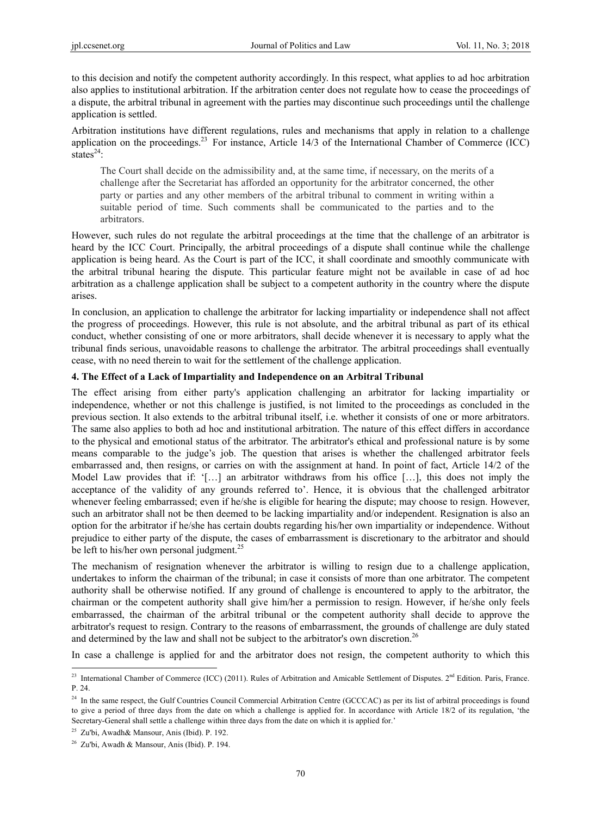to this decision and notify the competent authority accordingly. In this respect, what applies to ad hoc arbitration also applies to institutional arbitration. If the arbitration center does not regulate how to cease the proceedings of a dispute, the arbitral tribunal in agreement with the parties may discontinue such proceedings until the challenge application is settled.

Arbitration institutions have different regulations, rules and mechanisms that apply in relation to a challenge application on the proceedings.<sup>23</sup> For instance, Article 14/3 of the International Chamber of Commerce (ICC) states $^{24}$ :

The Court shall decide on the admissibility and, at the same time, if necessary, on the merits of a challenge after the Secretariat has afforded an opportunity for the arbitrator concerned, the other party or parties and any other members of the arbitral tribunal to comment in writing within a suitable period of time. Such comments shall be communicated to the parties and to the arbitrators.

However, such rules do not regulate the arbitral proceedings at the time that the challenge of an arbitrator is heard by the ICC Court. Principally, the arbitral proceedings of a dispute shall continue while the challenge application is being heard. As the Court is part of the ICC, it shall coordinate and smoothly communicate with the arbitral tribunal hearing the dispute. This particular feature might not be available in case of ad hoc arbitration as a challenge application shall be subject to a competent authority in the country where the dispute arises.

In conclusion, an application to challenge the arbitrator for lacking impartiality or independence shall not affect the progress of proceedings. However, this rule is not absolute, and the arbitral tribunal as part of its ethical conduct, whether consisting of one or more arbitrators, shall decide whenever it is necessary to apply what the tribunal finds serious, unavoidable reasons to challenge the arbitrator. The arbitral proceedings shall eventually cease, with no need therein to wait for the settlement of the challenge application.

## **4. The Effect of a Lack of Impartiality and Independence on an Arbitral Tribunal**

The effect arising from either party's application challenging an arbitrator for lacking impartiality or independence, whether or not this challenge is justified, is not limited to the proceedings as concluded in the previous section. It also extends to the arbitral tribunal itself, i.e. whether it consists of one or more arbitrators. The same also applies to both ad hoc and institutional arbitration. The nature of this effect differs in accordance to the physical and emotional status of the arbitrator. The arbitrator's ethical and professional nature is by some means comparable to the judge's job. The question that arises is whether the challenged arbitrator feels embarrassed and, then resigns, or carries on with the assignment at hand. In point of fact, Article 14/2 of the Model Law provides that if: '[...] an arbitrator withdraws from his office [...], this does not imply the acceptance of the validity of any grounds referred to'. Hence, it is obvious that the challenged arbitrator whenever feeling embarrassed; even if he/she is eligible for hearing the dispute; may choose to resign. However, such an arbitrator shall not be then deemed to be lacking impartiality and/or independent. Resignation is also an option for the arbitrator if he/she has certain doubts regarding his/her own impartiality or independence. Without prejudice to either party of the dispute, the cases of embarrassment is discretionary to the arbitrator and should be left to his/her own personal judgment.<sup>25</sup>

The mechanism of resignation whenever the arbitrator is willing to resign due to a challenge application, undertakes to inform the chairman of the tribunal; in case it consists of more than one arbitrator. The competent authority shall be otherwise notified. If any ground of challenge is encountered to apply to the arbitrator, the chairman or the competent authority shall give him/her a permission to resign. However, if he/she only feels embarrassed, the chairman of the arbitral tribunal or the competent authority shall decide to approve the arbitrator's request to resign. Contrary to the reasons of embarrassment, the grounds of challenge are duly stated and determined by the law and shall not be subject to the arbitrator's own discretion.<sup>26</sup>

In case a challenge is applied for and the arbitrator does not resign, the competent authority to which this

<sup>&</sup>lt;sup>23</sup> International Chamber of Commerce (ICC) (2011). Rules of Arbitration and Amicable Settlement of Disputes.  $2<sup>nd</sup>$  Edition. Paris, France. P. 24.

<sup>&</sup>lt;sup>24</sup> In the same respect, the Gulf Countries Council Commercial Arbitration Centre (GCCCAC) as per its list of arbitral proceedings is found to give a period of three days from the date on which a challenge is applied for. In accordance with Article 18/2 of its regulation, 'the Secretary-General shall settle a challenge within three days from the date on which it is applied for.'

<sup>25</sup> Zu'bi, Awadh& Mansour, Anis (Ibid). P. 192.

 $26$  Zu'bi, Awadh & Mansour, Anis (Ibid), P. 194.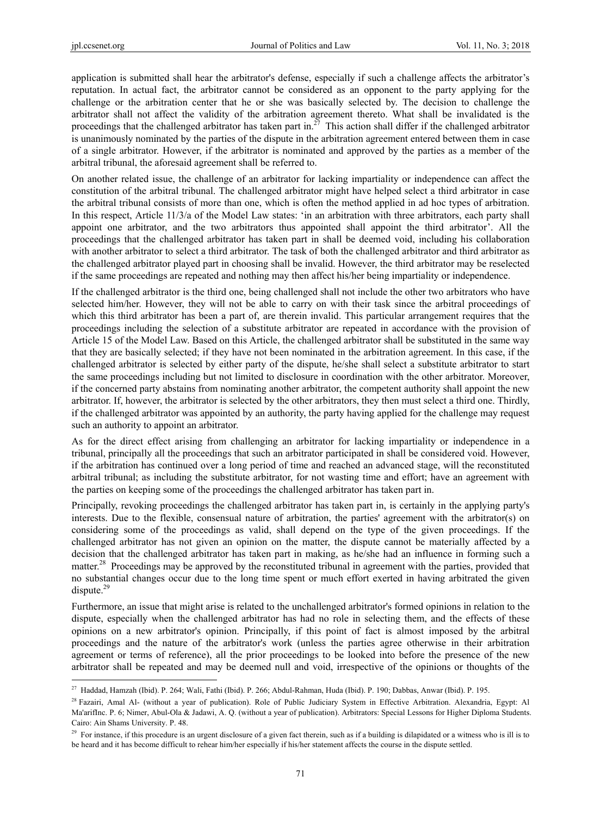application is submitted shall hear the arbitrator's defense, especially if such a challenge affects the arbitrator's reputation. In actual fact, the arbitrator cannot be considered as an opponent to the party applying for the challenge or the arbitration center that he or she was basically selected by. The decision to challenge the arbitrator shall not affect the validity of the arbitration agreement thereto. What shall be invalidated is the proceedings that the challenged arbitrator has taken part in.<sup>27</sup> This action shall differ if the challenged arbitrator is unanimously nominated by the parties of the dispute in the arbitration agreement entered between them in case of a single arbitrator. However, if the arbitrator is nominated and approved by the parties as a member of the arbitral tribunal, the aforesaid agreement shall be referred to.

On another related issue, the challenge of an arbitrator for lacking impartiality or independence can affect the constitution of the arbitral tribunal. The challenged arbitrator might have helped select a third arbitrator in case the arbitral tribunal consists of more than one, which is often the method applied in ad hoc types of arbitration. In this respect, Article 11/3/a of the Model Law states: 'in an arbitration with three arbitrators, each party shall appoint one arbitrator, and the two arbitrators thus appointed shall appoint the third arbitrator'. All the proceedings that the challenged arbitrator has taken part in shall be deemed void, including his collaboration with another arbitrator to select a third arbitrator. The task of both the challenged arbitrator and third arbitrator as the challenged arbitrator played part in choosing shall be invalid. However, the third arbitrator may be reselected if the same proceedings are repeated and nothing may then affect his/her being impartiality or independence.

If the challenged arbitrator is the third one, being challenged shall not include the other two arbitrators who have selected him/her. However, they will not be able to carry on with their task since the arbitral proceedings of which this third arbitrator has been a part of, are therein invalid. This particular arrangement requires that the proceedings including the selection of a substitute arbitrator are repeated in accordance with the provision of Article 15 of the Model Law. Based on this Article, the challenged arbitrator shall be substituted in the same way that they are basically selected; if they have not been nominated in the arbitration agreement. In this case, if the challenged arbitrator is selected by either party of the dispute, he/she shall select a substitute arbitrator to start the same proceedings including but not limited to disclosure in coordination with the other arbitrator. Moreover, if the concerned party abstains from nominating another arbitrator, the competent authority shall appoint the new arbitrator. If, however, the arbitrator is selected by the other arbitrators, they then must select a third one. Thirdly, if the challenged arbitrator was appointed by an authority, the party having applied for the challenge may request such an authority to appoint an arbitrator.

As for the direct effect arising from challenging an arbitrator for lacking impartiality or independence in a tribunal, principally all the proceedings that such an arbitrator participated in shall be considered void. However, if the arbitration has continued over a long period of time and reached an advanced stage, will the reconstituted arbitral tribunal; as including the substitute arbitrator, for not wasting time and effort; have an agreement with the parties on keeping some of the proceedings the challenged arbitrator has taken part in.

Principally, revoking proceedings the challenged arbitrator has taken part in, is certainly in the applying party's interests. Due to the flexible, consensual nature of arbitration, the parties' agreement with the arbitrator(s) on considering some of the proceedings as valid, shall depend on the type of the given proceedings. If the challenged arbitrator has not given an opinion on the matter, the dispute cannot be materially affected by a decision that the challenged arbitrator has taken part in making, as he/she had an influence in forming such a matter.<sup>28</sup> Proceedings may be approved by the reconstituted tribunal in agreement with the parties, provided that no substantial changes occur due to the long time spent or much effort exerted in having arbitrated the given dispute.<sup>29</sup>

Furthermore, an issue that might arise is related to the unchallenged arbitrator's formed opinions in relation to the dispute, especially when the challenged arbitrator has had no role in selecting them, and the effects of these opinions on a new arbitrator's opinion. Principally, if this point of fact is almost imposed by the arbitral proceedings and the nature of the arbitrator's work (unless the parties agree otherwise in their arbitration agreement or terms of reference), all the prior proceedings to be looked into before the presence of the new arbitrator shall be repeated and may be deemed null and void, irrespective of the opinions or thoughts of the

<sup>&</sup>lt;sup>27</sup> Haddad, Hamzah (Ibid). P. 264; Wali, Fathi (Ibid). P. 266; Abdul-Rahman, Huda (Ibid). P. 190; Dabbas, Anwar (Ibid). P. 195.

<sup>&</sup>lt;sup>28</sup> Fazairi, Amal Al- (without a year of publication). Role of Public Judiciary System in Effective Arbitration. Alexandria, Egypt: Al Ma'arifInc. P. 6; Nimer, Abul-Ola & Jadawi, A. Q. (without a year of publication). Arbitrators: Special Lessons for Higher Diploma Students. Cairo: Ain Shams University. P. 48.

 $29$  For instance, if this procedure is an urgent disclosure of a given fact therein, such as if a building is dilapidated or a witness who is ill is to be heard and it has become difficult to rehear him/her especially if his/her statement affects the course in the dispute settled.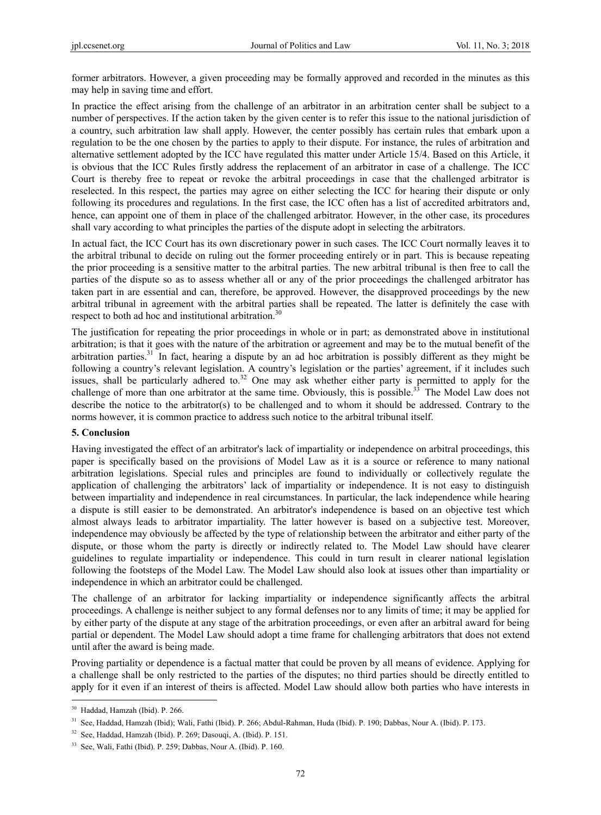former arbitrators. However, a given proceeding may be formally approved and recorded in the minutes as this may help in saving time and effort.

In practice the effect arising from the challenge of an arbitrator in an arbitration center shall be subject to a number of perspectives. If the action taken by the given center is to refer this issue to the national jurisdiction of a country, such arbitration law shall apply. However, the center possibly has certain rules that embark upon a regulation to be the one chosen by the parties to apply to their dispute. For instance, the rules of arbitration and alternative settlement adopted by the ICC have regulated this matter under Article 15/4. Based on this Article, it is obvious that the ICC Rules firstly address the replacement of an arbitrator in case of a challenge. The ICC Court is thereby free to repeat or revoke the arbitral proceedings in case that the challenged arbitrator is reselected. In this respect, the parties may agree on either selecting the ICC for hearing their dispute or only following its procedures and regulations. In the first case, the ICC often has a list of accredited arbitrators and, hence, can appoint one of them in place of the challenged arbitrator. However, in the other case, its procedures shall vary according to what principles the parties of the dispute adopt in selecting the arbitrators.

In actual fact, the ICC Court has its own discretionary power in such cases. The ICC Court normally leaves it to the arbitral tribunal to decide on ruling out the former proceeding entirely or in part. This is because repeating the prior proceeding is a sensitive matter to the arbitral parties. The new arbitral tribunal is then free to call the parties of the dispute so as to assess whether all or any of the prior proceedings the challenged arbitrator has taken part in are essential and can, therefore, be approved. However, the disapproved proceedings by the new arbitral tribunal in agreement with the arbitral parties shall be repeated. The latter is definitely the case with respect to both ad hoc and institutional arbitration.<sup>30</sup>

The justification for repeating the prior proceedings in whole or in part; as demonstrated above in institutional arbitration; is that it goes with the nature of the arbitration or agreement and may be to the mutual benefit of the arbitration parties.31 In fact, hearing a dispute by an ad hoc arbitration is possibly different as they might be following a country's relevant legislation. A country's legislation or the parties' agreement, if it includes such issues, shall be particularly adhered to.<sup>32</sup> One may ask whether either party is permitted to apply for the challenge of more than one arbitrator at the same time. Obviously, this is possible.<sup>33</sup> The Model Law does not describe the notice to the arbitrator(s) to be challenged and to whom it should be addressed. Contrary to the norms however, it is common practice to address such notice to the arbitral tribunal itself.

#### **5. Conclusion**

Having investigated the effect of an arbitrator's lack of impartiality or independence on arbitral proceedings, this paper is specifically based on the provisions of Model Law as it is a source or reference to many national arbitration legislations. Special rules and principles are found to individually or collectively regulate the application of challenging the arbitrators' lack of impartiality or independence. It is not easy to distinguish between impartiality and independence in real circumstances. In particular, the lack independence while hearing a dispute is still easier to be demonstrated. An arbitrator's independence is based on an objective test which almost always leads to arbitrator impartiality. The latter however is based on a subjective test. Moreover, independence may obviously be affected by the type of relationship between the arbitrator and either party of the dispute, or those whom the party is directly or indirectly related to. The Model Law should have clearer guidelines to regulate impartiality or independence. This could in turn result in clearer national legislation following the footsteps of the Model Law. The Model Law should also look at issues other than impartiality or independence in which an arbitrator could be challenged.

The challenge of an arbitrator for lacking impartiality or independence significantly affects the arbitral proceedings. A challenge is neither subject to any formal defenses nor to any limits of time; it may be applied for by either party of the dispute at any stage of the arbitration proceedings, or even after an arbitral award for being partial or dependent. The Model Law should adopt a time frame for challenging arbitrators that does not extend until after the award is being made.

Proving partiality or dependence is a factual matter that could be proven by all means of evidence. Applying for a challenge shall be only restricted to the parties of the disputes; no third parties should be directly entitled to apply for it even if an interest of theirs is affected. Model Law should allow both parties who have interests in

<sup>30</sup> Haddad, Hamzah (Ibid). P. 266.

<sup>31</sup> See, Haddad, Hamzah (Ibid); Wali, Fathi (Ibid). P. 266; Abdul-Rahman, Huda (Ibid). P. 190; Dabbas, Nour A. (Ibid). P. 173.

<sup>32</sup> See, Haddad, Hamzah (Ibid). P. 269; Dasouqi, A. (Ibid). P. 151.

<sup>33</sup> See, Wali, Fathi (Ibid). P. 259; Dabbas, Nour A. (Ibid). P. 160.